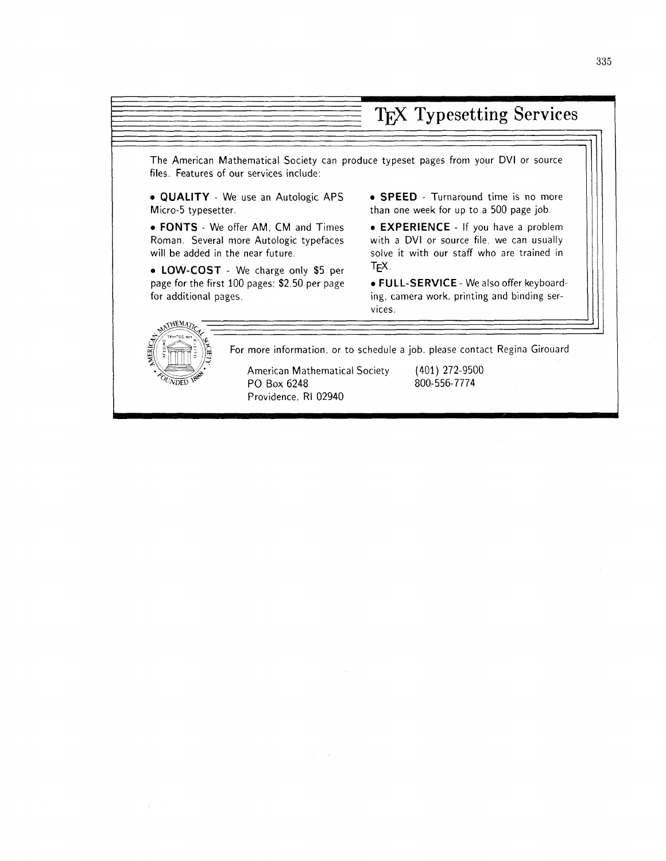# TFX Typesetting Services

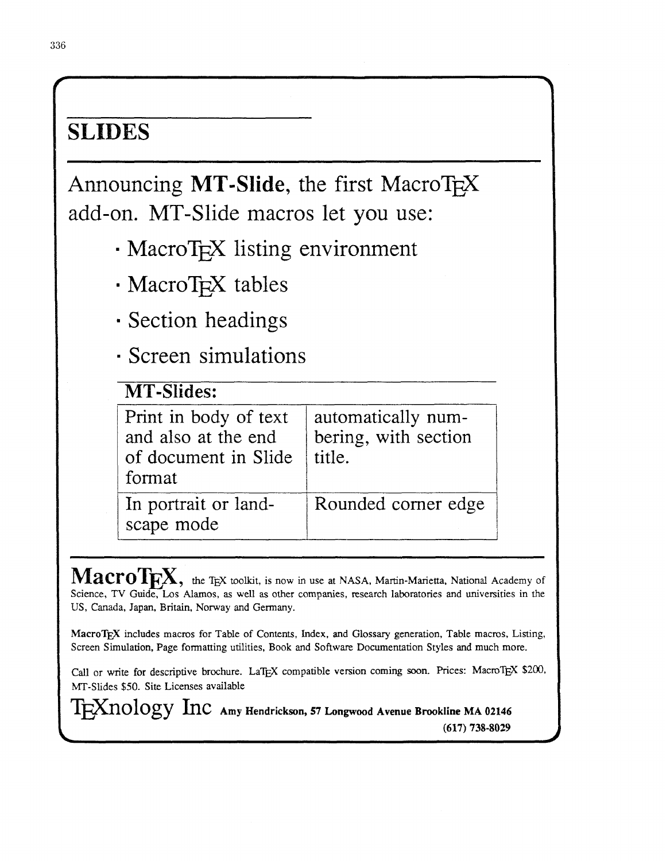# **SLIDES**

Announcing MT-Slide, the first MacroT<sub>F</sub>X add-on. MT-Slide macros let you use:

- MacroT<sub>F</sub>X listing environment
- · MacroT<sub>F</sub>X tables
- Section headings
- **· Screen simulations**

| <b>MT-Slides:</b>                                                              |                                                      |
|--------------------------------------------------------------------------------|------------------------------------------------------|
| Print in body of text<br>and also at the end<br>of document in Slide<br>format | automatically num-<br>bering, with section<br>title. |
| In portrait or land-<br>scape mode                                             | Rounded corner edge                                  |

**MacroT** $\mathbf{K}$ , the TEX toolkit, is now in use at NASA, Martin-Marietta, National Academy of Science, TV Guide, Los **Alamos,** as well as other companies, research laboratories and universities in the US, Canada, Japan, Britain, Norway and Germany.

MacroT<sub>E</sub>X includes macros for Table of Contents, Index, and Glossary generation, Table macros, Listing, Screen Simulation, Page formatting utilities, Book and Software Documentation Styles and much more.

Call or write for descriptive brochure. LaTEX compatible version coming soon. Prices: MacroTEX \$200, MT-Slides \$50. Site Licenses available

 $T_{F}X_{nology}$   $Inc$   $_{Amy}$  Hendrickson, 57  $_{Longwood}$  Avenue Brookline MA 02146 **(617) 738-8029**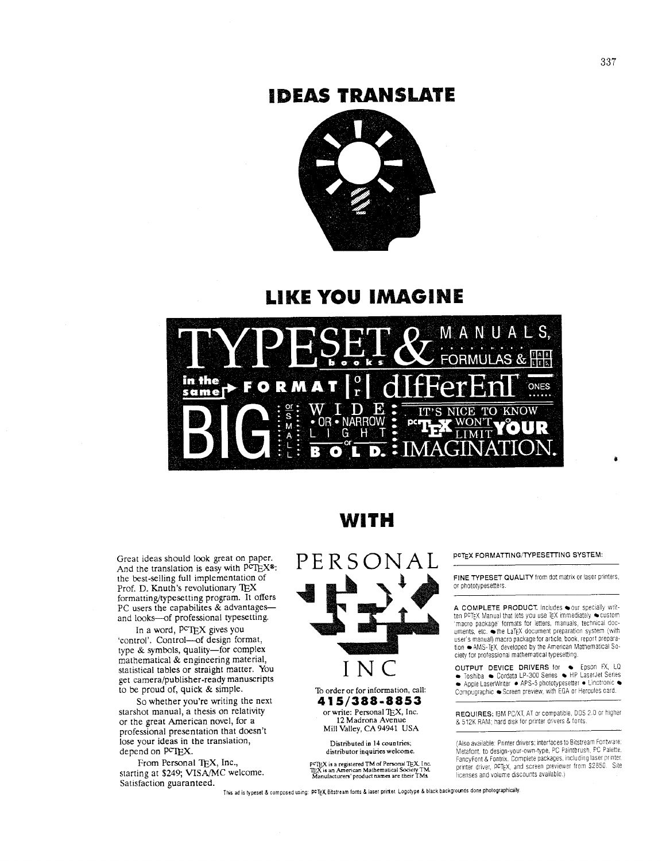### **IDEAS TRANSLATE**



### **LIKE YOU IMAGINE**



Great ideas should look great on paper. And the translation is easy with  $\vec{PCTEX}$ <sup>®</sup>: the best-selling full implementation of Prof. D. Knuth's revolutionary IEX formatting/typesetting program. It offers PC users the capabilites & advantagesand looks--of professional typesetting.

In a word,  $PCTEX$  gives you 'control'. Control--of design format, type & symbols, quality-for complex mathematical & engineering material, statistical tables or straight matter. You get camera/publisher-ready manuscripts to be proud of, quick & simple.

So whether you're writing the next starshot manual, a thesis on relativity or the great American novel, for a professional presentation that doesn't lose your ideas in the translation, depend on PCTEX.

From Personal TEX, Inc., starting at \$249; **VISA/MC** welcome. Satisfaction guaranteed.

### WITH



To order or for information, **call: 4 15/388-8853**  or write: Personal TEX, Inc. 12 Madrona Avenue Mill Valley, CA 94941 USA

> **Distributed in 14** countries; **distributor** inquiries **welcome**

 ${}^{\circ}$ FJEX is a registered TM of Personal TEX, Inc.<br>IEX is an American Mathematical Society TM.<br>Manufacturers' product names are their TMs.

PCTEX FORMATTING/TYPESETTING SYSTEM:

FINE TYPESET QUALITY from dot matrix or laser printers, or phototypesetters.

A COMPLETE PRODUCT. Includes cur specially written P~TEX Manual that lets you use TEX immediately custom 'macro package formats for letters, manuals, technical dccuments, etc. whe LaTEX document preparation system (with iser's manual) macro package for article, book, report prepara-<br>ion ●AMS-TEX, developed by the American Mathematical Soclety for professional mathematical typesetting.

**DUTPUT DEVICE DRIVERS for CEPSON FX, LQ DEVICE DRIVERS for CEPSON FX, LQ** Apple Laserwriter **b** APS-5 phototypesetter **r** Lnotronic Compugraphic Screen preview, with EGA or Hercules card.

REQUIRES: IBM PC/XT, AT or compatible, DOS 2.0 or higher & 512K RAM; hard disk for printer drivers & fonts.

Also available: Printer drivers, interlaces to Bitstream Fontware.<br>Metafont, to design-your-own-type, PC Paintbrush, PC Palette. ancyFont & Fontrix, Complete packages, including laser printer.<br>printer driver, PCTEX, and screen previewer from \$2850. Site licenses and volume discounts available )

This ad is typeset & composed using: PCTEX.Bitstream fonts & laser printer. Logotype & black backgrounds done photographically.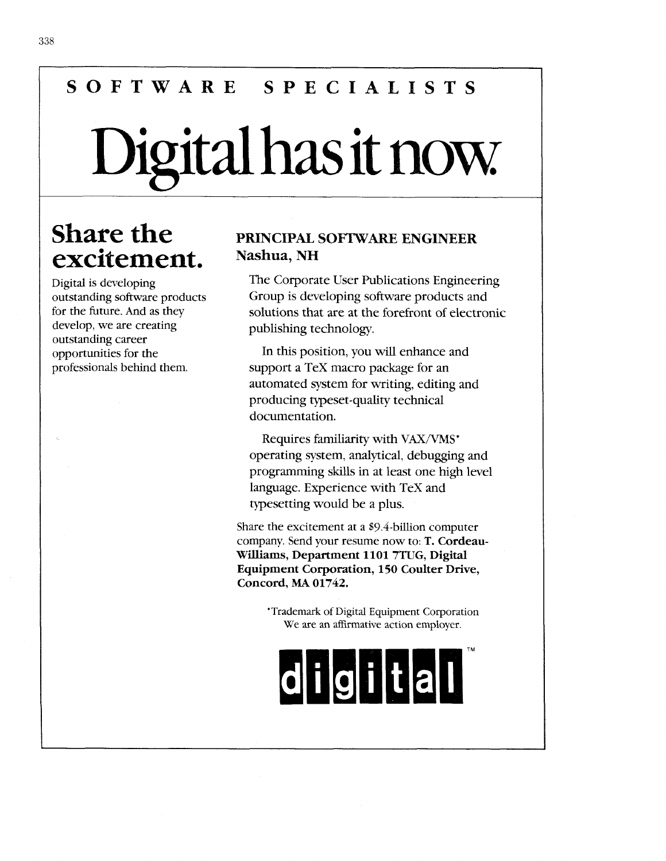# **SOFTWARE SPECIALISTS**

# Digital has it now.

# **Share the** excitement.

Digital is developing outstanding software products for the future. And as they develop, we are creating outstanding career opportunities for the professionals behind them.

#### **PRINCIPAL SOFTWARE ENGINEER Nashua, NH**

The Corporate User Publications Engineering Group is developing software products and solutions that are at the forefront of electronic publishing technology.

In this position, you will enhance and support a TeX macro package for an automated system for writing, editing and producing typeset-quality technical documentation.

Requires familiarity with **VAX/VMS'**  operating system, analytical, debugging and programming skills in at least one high level language. Experience with TeX and typesetting would be a plus.

Share the excitement at a \$9.4-billion computer company. Send your resume now to: T. **Cordeau-Williams, Department 1101 7TUG, Digital Equipment Corporation, 150 Coulter Drive, Concord, MA 01742.** 

> 'Trademark of Digital Equipment Corporation We are an affirmative action employer.

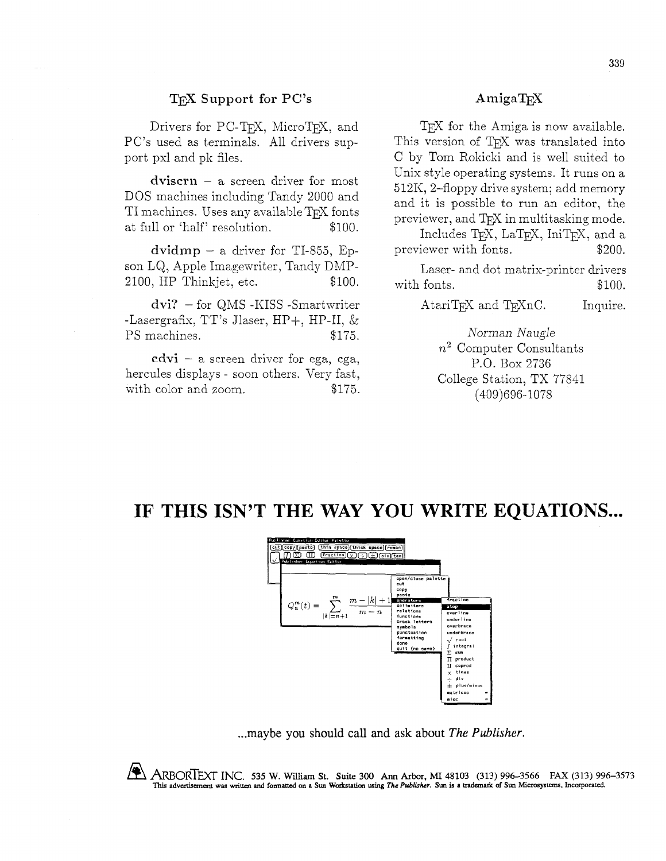#### T<sub>F</sub>X Support for PC's

Drivers for PC-T<sub>F</sub>X, MicroT<sub>F</sub>X, and PC's used as terminals. All drivers support pxl and pk files.

 $divis$ crn  $-$  a screen driver for most DOS machines including Tandy 2000 and TI machines. Uses any available T<sub>F</sub>X fonts at full or 'half' resolution. \$100.

 $dividmp - a$  driver for TI-855, Epson LQ, Apple Imagewriter, Tandy DMP-2100, HP Thinkjet, etc. \$100.

dvi? - for QMS -KISS -Smartwriter -Lasergrafix, TT's Jlaser,  $HP+$ ,  $HP-II$ ,  $\&$ PS machines.  $$175$ .

 $cdvi - a$  screen driver for ega, cga, hercules displays - soon others. Very fast, with color and zoom.  $$175.$ 

#### AmigaT<sub>F</sub>X

T<sub>F</sub>X for the Amiga is now available. This version of T<sub>F</sub>X was translated into C by Tom Rokicki and is well suited to Unix style operating systems. It runs on a 512K, 2-floppy drive system; add memory and it is possible to run an editor, the previewer, and T<sub>F</sub>X in multitasking mode.

Includes T<sub>F</sub>X, LaT<sub>F</sub>X, IniT<sub>F</sub>X, and a previewer with fonts.  $$200.$ 

Laser- and dot matrix-printer drivers with fonts.  $$100.$ 

AtariT<sub>F</sub>X and T<sub>F</sub>XnC. Inquire.

Norman *Naugle*   $n^2$  Computer Consultants P.O. Box 2736 College Station, TX 77841 (409)696-1078

### **IF THIS ISN'T THE WAY YOU WRITE EQUATIONS** ...



... maybe you should call and ask about The **Publisher.** 

ARBORTEXT INc. 535 W. Willam St. **Suite** 300 **Ann Arbor,** MI 48103 (313) 996-3566 FAX (313) 996-3573 This advertisement was written and formatted on a Sun Workstation using The Publisher. Sun is a trademark of Sun Microsystems, Incorporated.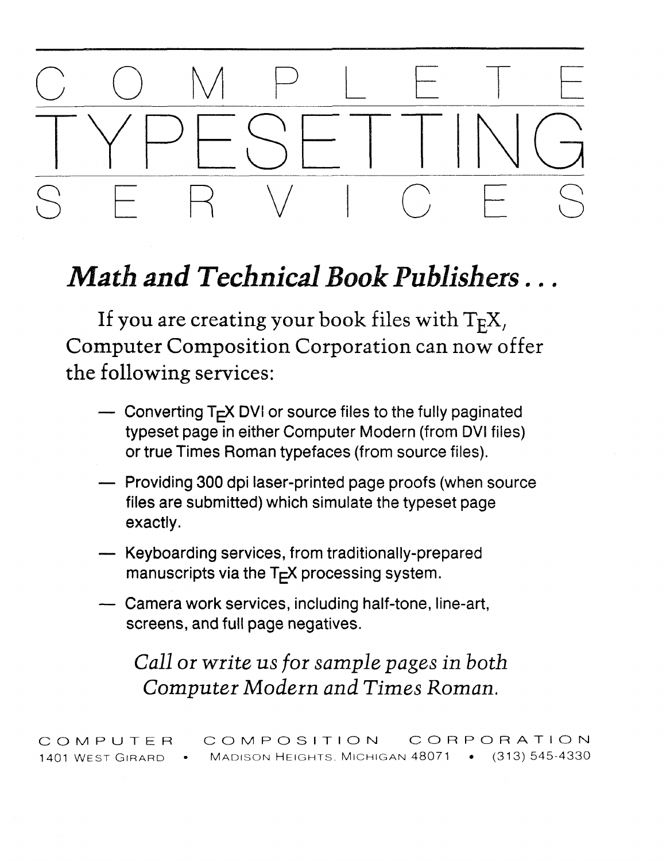# COMPLETE SERVICES

# Math and Technical Book Publishers...

If you are creating your book files with  $T_F X$ , Computer Composition Corporation can now offer the following services:

- $\sim$  Converting T<sub>F</sub>X DVI or source files to the fully paginated typeset page in either Computer Modern (from DVI files) or true Times Roman typefaces (from source files).
- Providing 300 dpi laser-printed page proofs (when source files are submitted) which simulate the typeset page exactly.
- Keyboarding services, from traditionally-prepared manuscripts via the  $T<sub>F</sub>X$  processing system.
- Camera work services, including half-tone, line-art, screens, and full page negatives.

*Call or write us for sample pages in both Computer Modern and Times Roman.* 

COMPUTER COMPOSITION CORPORATION 1401 WEST GIRARD • MADISON HEIGHTS, MICHIGAN 48071 • (313) 545-4330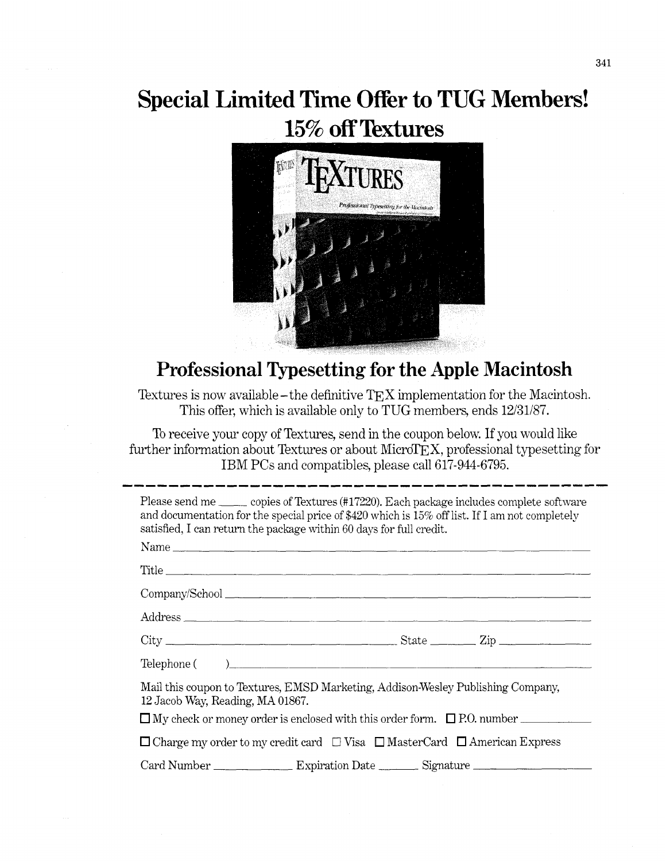# **Special Limited Time Offer to TUG Members!**  15% off Textures



## **Professional Typesetting for the Apple Macintosh**

Textures is now available - the definitive  $TEX$  implementation for the Macintosh. This offer, which is available only to TUG members, ends  $12/31/87$ .

To receive your copy of Textures, send in the coupon below. If you would like further information about Textures or about Micro $TEX$ , professional typesetting for IBM PCs and compatibles, please call 617-944-6795.

Please send me copies of Textures (#17220). Each package includes complete software and documentation for the special price of \$420 which is 15% off list. If I am not completely satisfied, I can return the package within 60 days for full credit.

| Name                                                                                                                 |  |
|----------------------------------------------------------------------------------------------------------------------|--|
| Title                                                                                                                |  |
|                                                                                                                      |  |
| Address                                                                                                              |  |
|                                                                                                                      |  |
| Telephone ()                                                                                                         |  |
| Mail this coupon to Textures, EMSD Marketing, Addison-Wesley Publishing Company,<br>12 Jacob Way, Reading, MA 01867. |  |
| $\Box$ My check or money order is enclosed with this order form. $\Box$ P.O. number                                  |  |
| $\Box$ Charge my order to my credit card $\Box$ Visa $\Box$ MasterCard $\Box$ American Express                       |  |
|                                                                                                                      |  |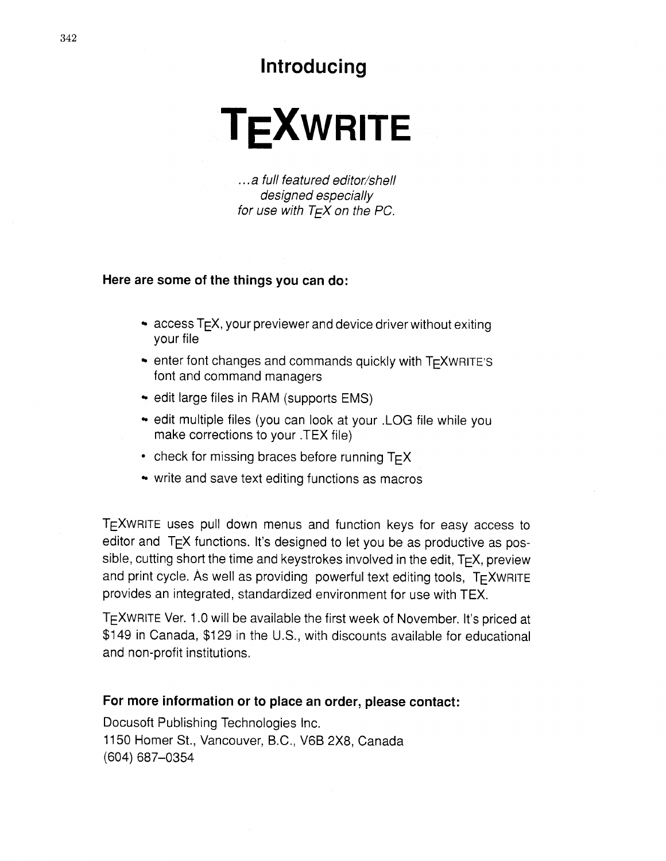### **Introducing**

# **TEXWRITE**

. . . a full featured editor/shell designed especially for use with  $T \in X$  on the PC.

#### **Here are some of the things you can do:**

- $\bullet$  access T<sub>F</sub>X, your previewer and device driver without exiting your file
- $\bullet$  enter font changes and commands quickly with  $TrXWRITE'S$ font and command managers
- edit large files in RAM (supports EMS)
- edit multiple files (you can look at your .LOG file while you make corrections to your .TEX file)
- check for missing braces before running  $T \in X$
- write and save text editing functions as macros

TEXWRITE uses pull down menus and function keys for easy access to editor and  $T_{E}X$  functions. It's designed to let you be as productive as possible, cutting short the time and keystrokes involved in the edit,  $T \n F X$ , preview and print cycle. As well as providing powerful text editing tools,  $T_F X wRITE$ provides an integrated, standardized environment for use with TEX.

TEXWRITE Ver. 1.0 will be available the first week of November. It's priced at \$149 in Canada, \$129 in the U.S., with discounts available for educational and non-profit institutions.

#### **For more information or to place an order, please contact:**

Docusoft Publishing Technologies Inc. 11 50 Homer St., Vancouver, B.C., V6B 2x8, Canada (604) 687-0354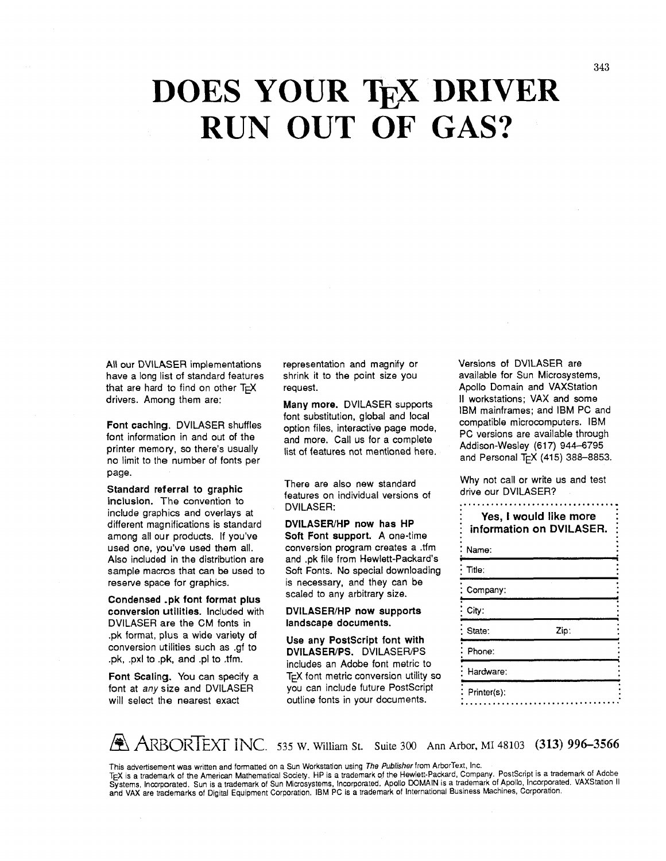# **DOES YOUR TEX DRIVER RUN OUT OF GAS?**

All our DVILASER implementations have a long list of standard features that are hard to find on other  $T \in X$ drivers. Among them are:

Font caching. DVILASER shuffles font information in and out of the printer memory, so there's usually no limit to the number of fonts per page.

Standard referral to graphic inclusion. The convention to include graphics and overlays at different magnifications is standard among all our products. If you've used one, you've used them all. Also included in the distribution are sample macros that can be used to reserve space for graphics.

Condensed .pk font format plus conversion utilities. Included with DVILASER are the CM fonts in .pk format, plus a wide variety of conversion utilities such as .gf to .pk, .pxl to .pk, and .pl to .tfm.

Font Scaling. You can specify a font at any size and DVILASER will select the nearest exact

representation and magnify or shrink it to the point size you request.

Many more. DVILASER supports font substitution, global and local option files, interactive page mode, and more. Call us for a complete list of features not mentioned here.

There are also new standard features on individual versions of DVILASER:

DVILASER/HP now has HP Soft Font support. **A** one-time conversion program creates **a** .tfm and .pk file from Hewlett-Packard's Soft Fonts. No special downloading is necessary, and they can be scaled to any arbitrary size.

DVILASER/HP now supports landscape documents.

Use any Postscript font with DVILASER/PS. DVILASER/PS includes an Adobe font metric to TEX font metric conversion utility so you can include future PostScript outline fonts in your documents.

Versions of DVILASER are available for Sun Microsystems, Apollo Domain and VAXStation II workstations; VAX and some **IBM** mainframes; and ISM PC and compatible microcomputers. IBM PC versions are available through Addison-Wesley (617) 944-6795 and Personal T<sub>F</sub>X (415) 388-8853.

Why not call or write us and test drive our DVILASER? 

| Yes, I would like more<br>information on DVILASER. |      |  |
|----------------------------------------------------|------|--|
| Name:                                              |      |  |
| Title:                                             |      |  |
| Company:                                           |      |  |
| City:                                              |      |  |
| State:                                             | Zip: |  |
| Phone:                                             |      |  |
| Hardware:                                          |      |  |
| Printer(s):                                        |      |  |

**2 ARBORTEXT INC.** 535 W. William St. Suite 300 Ann Arbor, MI 48103 **(313) 996-3566** 

This advertisement was written and formatted on a Sun Workstation using The Publisher from ArborText, Inc.

TEX is a trademark of the American Mathematical Society. HP is a trademark of the Hewlett-Packard, Company. PostScript is a trademark of Adobe Systems, Incorporated. Sun is a trademark of Sun Microsystems, Incorporated. Apollo DOMAIN is a trademark of Apollo, Incorporated. VAXStation II and VAX are trademarks of Digital Equipment Corporation. IBM PC is a trademark of International Business Machines, Corporation.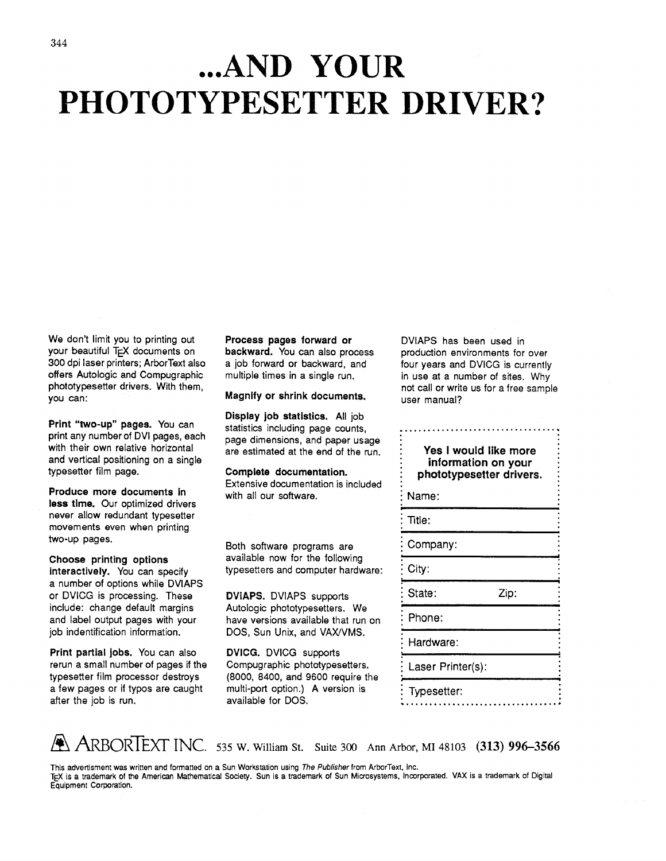# **... AND YOUR PHOTOTYPESETTER DRIVER?**

We don't limit you to printing out your beautiful **TEX** documents on 300 dpi laser printers; ArborText also offers Autologic and Compugraphic phototypesetter drivers. With them, you can:

**Print "two-up" pages.** You can print any number of DVI pages, each with their own relative horizontal and vertical positioning on a single typesetter film page.

**Produce more documents in less tlme.** Our optimized drivers never allow redundant typesetter movements even when printing two-up pages.

**Choose printing options interactively.** You can specify a number of options while DVIAPS or DVICG is processing. These include: change default margins and label output pages with your job indentification information.

**Print partial jobs.** You can also rerun a small number of pages if the typesetter film processor destroys a few pages or if typos are caught after the job is run.

**Process pages forward or backward.** You can also process a job forward or backward, and multiple times in a single run.

**Magnify or shrink documents.** 

**Display job statistics.** All job statistics including page counts, page dimensions, and paper usage are estimated at the end of the run.

**Complete documentation.** 

Extensive documentation is included with all our software.

Both software programs are available now for the following typesetters and computer hardware:

**DVIAPS.** DVIAPS supports Autologic phototypesetters. We have versions available that run on DOS, Sun Unix, and VAX/VMS.

**DVICG.** DVICG supports Compugraphic phototypesetters. (8000, 8400, and 9600 require the multi-port option.) A version is available for DOS.

DVIAPS has been used in production environments for over four years and DVICG is currently in use at a number of sites. Why not call or write us for a free sample user manual?

: **Yes I would like more** : information on your : **phototypesetter drivers.** : : Name: : Title: Company: City: **I <sup>d</sup>** State: Zip: : Phone: **I**  Hardware: **1**  Laser Printer(s): : Typesetter: ...................................



This advertisment was written and formatted on a Sun Workstation using The *Publisher* from ArborText. Inc. TEX is a trademark of the American Mathematical Society. Sun is a trademark of Sun Microsystems, Incorporated. VAX is a trademark of Digital Equipment Corporation.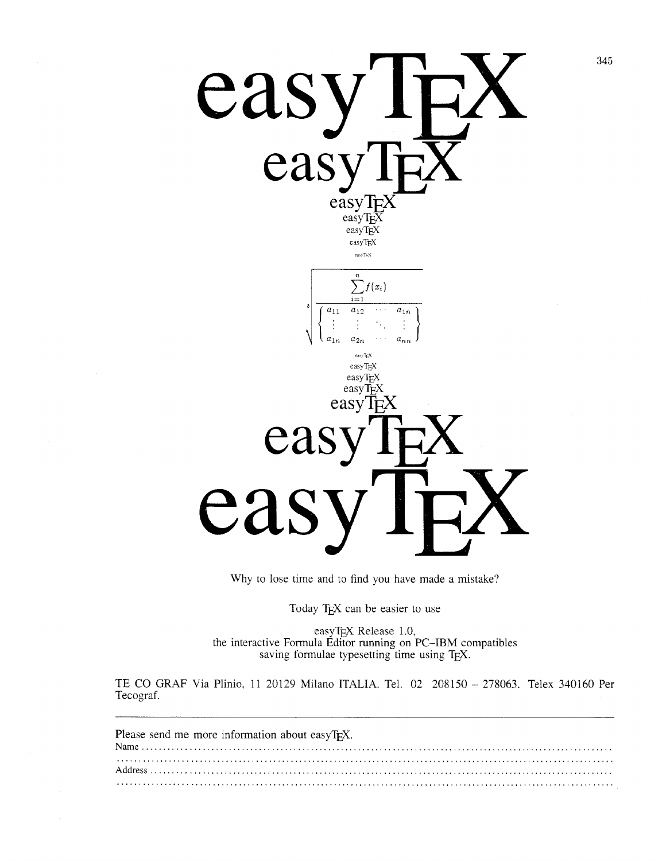

Why to lose time and to find you have made a mistake?

Today TEX can be easier to use

easyTEX Release 1.0, the interactive Formula Editor running on PC-IBM compatibles saving formulae typesetting time using T $_{E}X$ .

TE CO GRAF Via Plinio, 11 20129 Milano ITALIA. Tel. 02 208150 - 278063. Telex 340160 Per Tecograf.

| Please send me more information about easyTEX. |  |
|------------------------------------------------|--|
|                                                |  |
|                                                |  |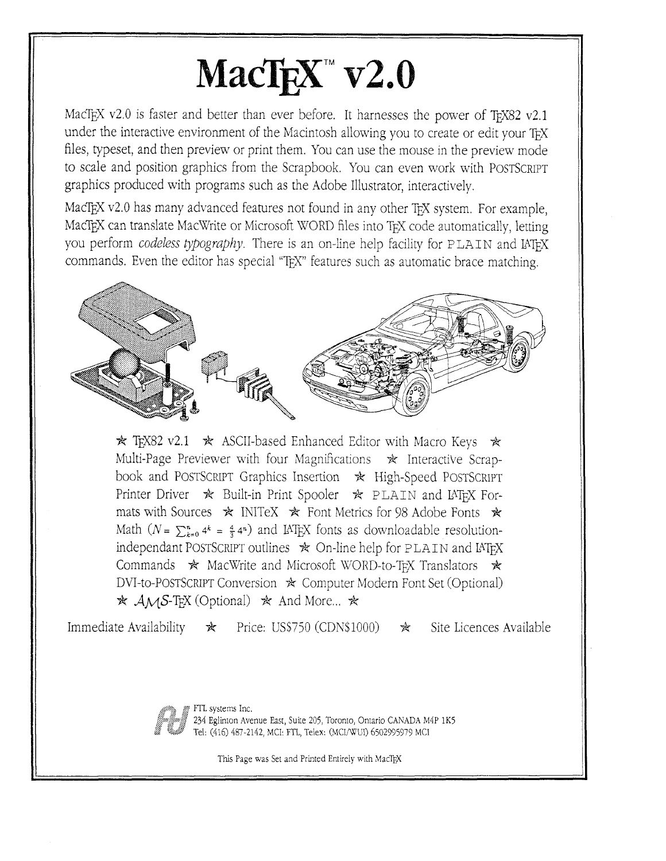# $MacTeX^{\sim}$  v2.0

MacTEX v2.0 is faster and better than ever before. It harnesses the power of TEX82 v2.1 under the interactive environment of the Macintosh allowing you to create or edit your TEX files, typeset, and then preview or print them. You can use the mouse in the preview mode to scale and position graphics from the Scrapbook. You can even work with POSTSCRIPT graphics produced with programs such as the Adobe Illustrator, interactively.

MacT<sub>E</sub>X v2.0 has many advanced features not found in any other T<sub>EX</sub> system. For example, MacTEX can translate MacWrite or Microsoft WORD files into TEX code automatically, letting you perform *codeless typography*. There is an on-line help facility for PLAIN and IATFX commands. Even the editor has special "TEX" features such as automatic brace matching.



 $*$  T<sub>F</sub>X82 v2.1  $*$  ASCII-based Enhanced Editor with Macro Keys  $*$ Multi-Page Previewer with four Magnifications  $*$  Interactive Scrapbook and POSTSCRIPT Graphics Insertion  $\star$  High-Speed POSTSCRIPT Printer Driver  $\star$  Built-in Print Spooler  $\star$  PLAIN and IATEX Formats with Sources  $\star$  INITeX  $\star$  Font Metrics for 98 Adobe Fonts  $\star$ Math  $(N = \sum_{k=0}^{n} 4^k = \frac{4}{3} 4^n)$  and IAT<sub>E</sub>X fonts as downloadable resolutionindependant POSTSCRIPT outlines  $\ast$  On-line help for PLAIN and IATFX Commands  $\star$  MacWrite and Microsoft WORD-to-T<sub>EX</sub> Translators  $\star$ DVI-to-POSTSCRIPT Conversion  $\ast$  Computer Modern Font Set (Optional)  $\star$  AMS-TEX (Optional)  $\star$  And More...  $\star$ 

Immediate Availability  $\star$  Price: US\$750 (CDN\$1000)  $\star$  Site Licences Available

**\$3** , .... . .

FTL systems Inc.<br>234 Eglinton Avenue East, Suite 205, Toronto, Ontario CANADA M4P 1K5 Tel: (416) 487-2142, MCI: FTL, Telex: (MCI/WUI) 6502995979 MCI

This Page was Set and Printed Entirely with MacTEX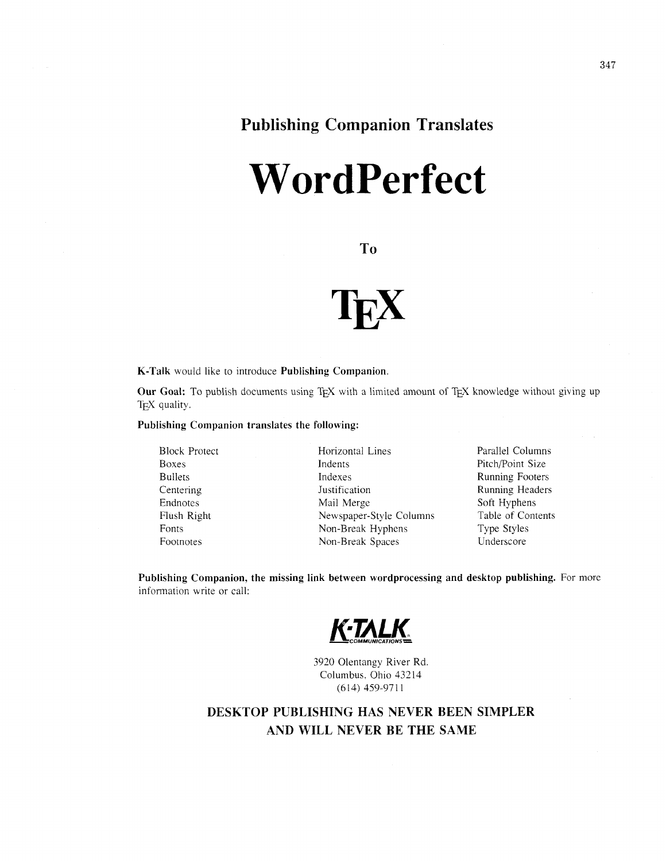# **Wordperfect**

T<sub>o</sub>



**K-Talk** would like to introduce **Publishing Companion** 

**Our Goal:** To publish documents using TEX with a limited amount of TEX knowledge without giving up T<sub>E</sub>X quality.

**Publishing Companion translates the following:** 

Block Protect Boxes Bullets Centering Endnotes Flush Right Fonts Footnotes

Horizontal Lines Indents Indexes Justification Mail Merge Newspaper-Style Columns Non-Break Hyphens Non-Break Spaces

Parallel Columns Pitch/Point Size Running Footers Running Headers Soft Hyphens Table of Contents Type Styles Underscore

Publishing Companion, the missing link between wordprocessing and desktop publishing. For more information write or call:



3920 Olentangy River Rd Columbus. Ohio 43214 (6 14) 459-97 1 1

#### **DESKTOP PUBLISHING HAS NEVER BEEN SIMPLER AND WILL NEVER BE THE SAME**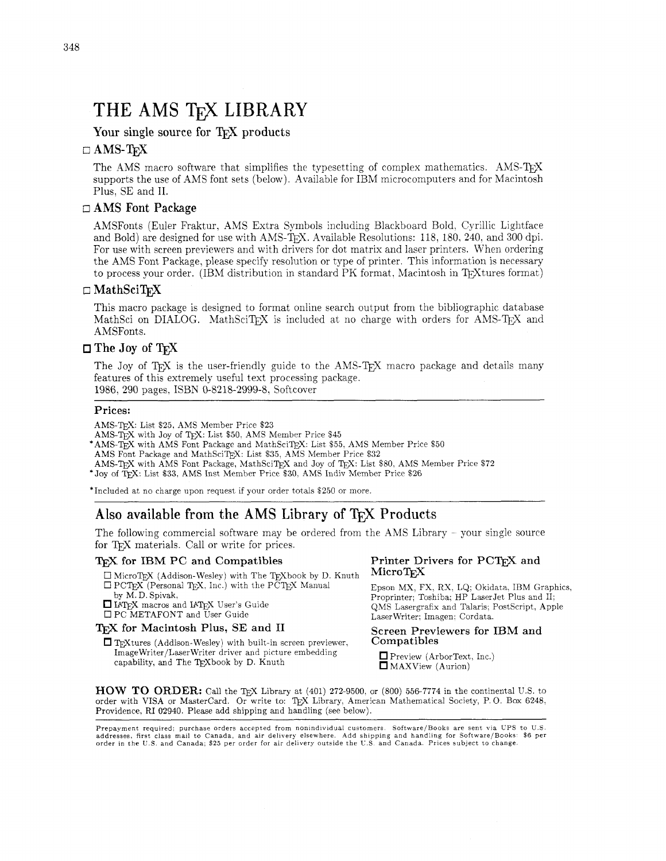## THE AMS TFX LIBRARY

Your single source for TFX products

#### $\Box$  AMS-T<sub>F</sub>X

The AMS macro software that simplifies the typesetting of complex mathematics. AMS-T<sub>F</sub>X supports the use of AMS font sets (below). Available for IBM microcomputers and for Macintosh Plus. SE and 11.

#### $\Box$  AMS Font Package

AMSFonts (Euler Fraktur, AMS Extra Symbols including Blackboard Bold. Cyrillic Lightface and Bold) are designed for use with AMS-TEX. Available Resolutions: 118. 180. 240. and 300 dpi. For use with screen previewers and with drivers for dot matrix and laser printers. When ordering the AMS Font Package, please specify resolution or type of printer. This information is necessary to process your order. (IBM distribution in standard PK format, Macintosh in TFXtures format)

#### $\Box$  MathSciTrX

This macro package is designed to format online search output from the bibliographic database MathSci on DIALOG. MathSciT<sub>EX</sub> is included at no charge with orders for AMS-T<sub>EX</sub> and AMSFonts.

#### $\square$  The Joy of  $T_F X$

The Joy of TFX is the user-friendly guide to the AMS-TFX macro package and details many features of this extremely useful text processing package. 1986, 290 pages, ISBN 0-8218-2999-8. Softcover

#### Prices:

AMS-TEX: List \$25, AMS Member Price \$23

 $\mathbf{AMS}\text{-}\overline{\mathbf{TE}}\mathbf{X}$  with Joy of T $\mathbf{EX}\text{: List }\$50,$  AMS Member Price  $\$45$ 

'AMS-TEX with AMS Font Package and MathSciT~X: List \$55, AMS Member Price \$50

AMS Font Package and MathSciTEX: List \$35. AMS Member Price \$32

AMS-TEX with AMS Font Package, MathSciTEX and Joy of TEX: List \$80, AMS Member Price \$72<br>
\*Joy of TEX: List \$33, AMS Inst Member Price \$30, AMS Indiv Member Price \$26

'Included at no charge upon request if your order totals \$250 or more.

#### Also available from the AMS Library of TFX Products

The following commercial software may be ordered from the AMS Library - your single source for T<sub>E</sub>X materials. Call or write for prices.

#### **T<sub>F</sub>X** for IBM PC and Compatibles

 $\square$  MicroTEX (Addison-Wesley) with The TEXbook by D. Knuth  $\Box$  PCT<sub>E</sub>X (Personal T<sub>E</sub>X, Inc.) with the PCT<sub>E</sub>X Manual by M. D. Spivak,

I LATEX macros and LATEX User's Guide 0 PC METAFONT and User Guide

#### T<sub>F</sub>X for Macintosh Plus, SE and II

 $\Box$  TEXtures (Addison-Wesley) with built-in screen previewer, ImageWriter/LaserWriter driver and picture embedding capability, and The TEXbook by D. Knuth

#### Printer Drivers for PCTFX and  $MicroTrX$

Epson MX) FX. RX, LQ: Okidata. IBM Graphics. Proprinter; Toshiba; HP LaserJet Plus and 11: QMS Lasergrafix and Talaris; Postscript. Apple Laserwriter; Imagen: Cordata.

#### Screen Previewers for IBM and Compatibles

Preview (ArborText, Inc.) MAXView (Aurion)

**HOW TO** ORDER: Call the TEX Library at (401) 272-9500. or (800) 55&7774 in the continental U.S. to order with VISA or MasterCard. Or write to: TEX Library, American Mathematical Society, P.O. Box 6248, Providence. RI 02940. Please add shipping and handling (see below). The Compatibles<br>
Image Writer/Laser Writer driver and picture embedding<br>
capability, and The TEXbook by D. Knuth<br>
HOW TO ORDER: Call the TEX Library at (401) 272-9500, or (800) 556-7774 in the continental U.S. to<br>
order wi

Prepayment required: purchase orders accepted from nonindividual customers. Software/Books are sent via UPS to U.S.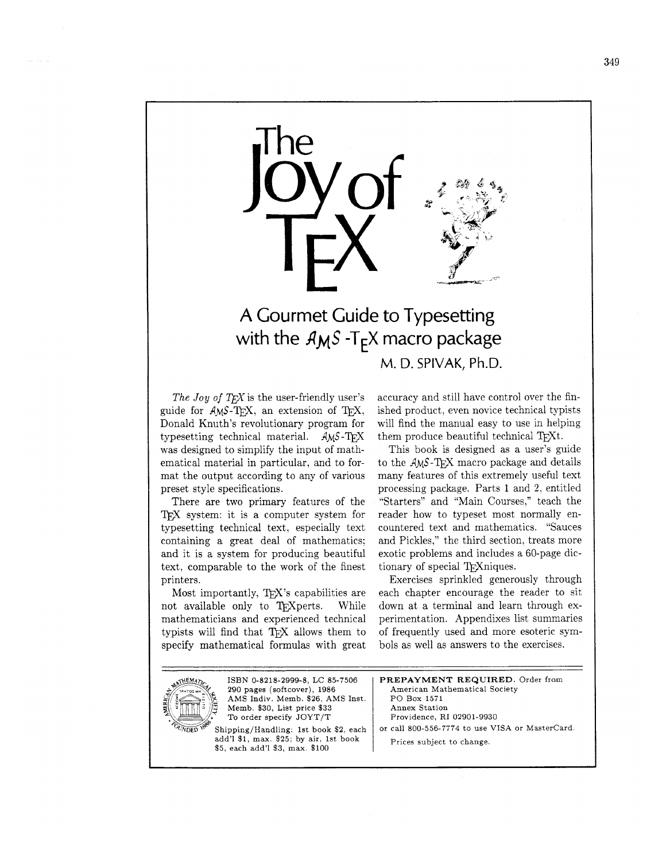

### A Gourmet Guide to Typesetting with the  $A_{M}S$  -T<sub>F</sub>X macro package M. D. SPIVAK, Ph.D.

*The Joy of TEX* is the user-friendly user's guide for  $A$ <sub>M</sub>S-T<sub>F</sub>X, an extension of T<sub>F</sub>X, Donald Knuth's revolutionary program for typesetting technical material.  $AMS-TEX$ was designed to simplify the input of mathematical material in particular, and to format the output according to any of various preset style specifications.

There are two primary features of the T<sub>F</sub>X system: it is a computer system for typesetting technical text, especially text containing a great deal of mathematics: and it is a system for producing beautiful text, comparable to the work of the finest printers.

Most importantly, TFX's capabilities are not available only to TFXperts. While mathematicians and experienced technical typists will find that TFX allows them to specify mathematical formulas with great accuracy and still have control over the finished product. even novice technical typists will find the manual easy to use in helping them produce beautiful technical TFXt.

This book is designed as a user's guide to the  $AMS$ -T<sub>F</sub>X macro package and details many features of this extremely useful text processing package. Parts 1 and 2, entitled "Starters" and "Main Courses," teach the reader how to typeset most normally encountered text and mathematics. "Sauces and Pickles," the third section. treats more exotic problems and includes a 60-page dictionary of special T<sub>E</sub>Xniques.

Exercises sprinkled generously through each chapter encourage the reader to sit down at a terminal and learn through experimentation. Appendixes list summaries of frequently used and more esoteric symbols as well as answers to the exercises.



ISBN 0-8218-2999-8, LC 85-7506 **290** pages (softcover), 1986 AMS Indiv. Memb. \$26, AMS Inst. Memb. \$30, List price \$33 To order specify JOYT/T

Shipping/Handling: 1st book \$2, each add'l \$1, max. \$25; by air. 1st book \$5, each add'l \$3, max. \$100

**PREPAYMENT REQUIRED.** Order from American Mathematical Society PO Box 1571 Annex Station Providence, RI 02901-9930 or call 800-556-7774 to use VISA or Mastercard. Prices subject to change.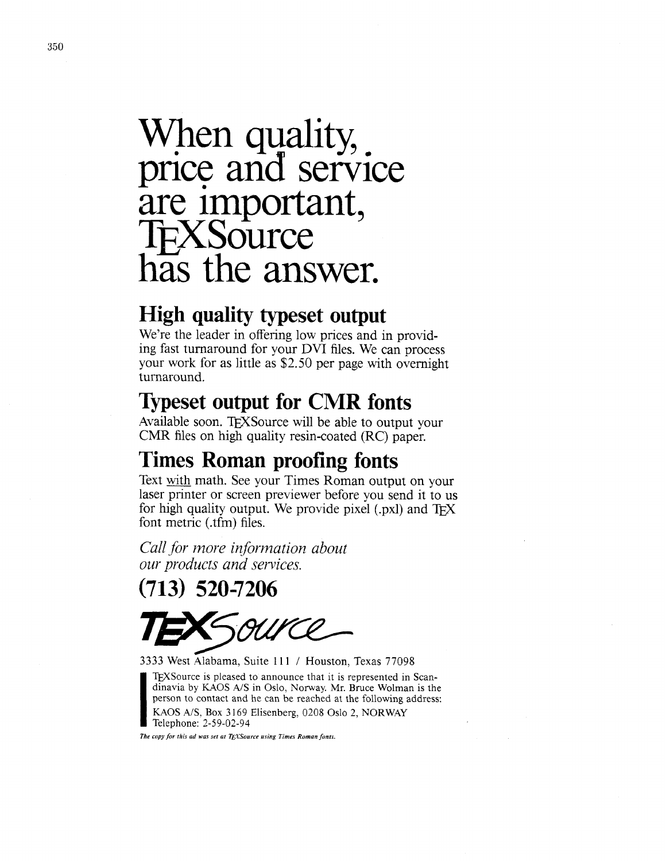# When quality, price and service are important,<br>TEXSource has the answer.

## **High quality typeset output**

We're the leader in offering low prices and in providing fast turnaround for your DVI files. We can process your work for as little as \$2.50 per page with overnight turnaround.

### **Typeset output for CMR fonts**

Available soon. TFXSource will be able to output your CMR files on high quality resin-coated (RC) paper.

# **Times Roman proofing fonts**

Text math. See your Times Roman output on your laser printer or screen previewer before you send it to us for high quality output. We provide pixel (.pxl) and  $T \nvert X$ font metric (.tfm) files.

*Call for more information about our products and services.* 

(713) 520-7206

3333 West Alabama, Suite 111 / Houston, Texas 77098

TEXSource is pleased to announce that it is represented in Scan-<br>dinavia by KAOS A/S in Oslo, Norway. Mr. Bruce Wolman is the<br>person to contact and he can be reached at the following address:<br>KAOS A/S, Box 3169 Elisenberg, linavia by KAOS A/S in Oslo, Norway. Mr. Bruce Wolman is the person to contact and he can be reached at the following address: KAOS A/S, Box 3 169 Elisenberg, 0208 Oslo 2, NORWAY Telephone: 2-59-02-94

The copy for this ad was set at TEXSource using Times Roman fonts.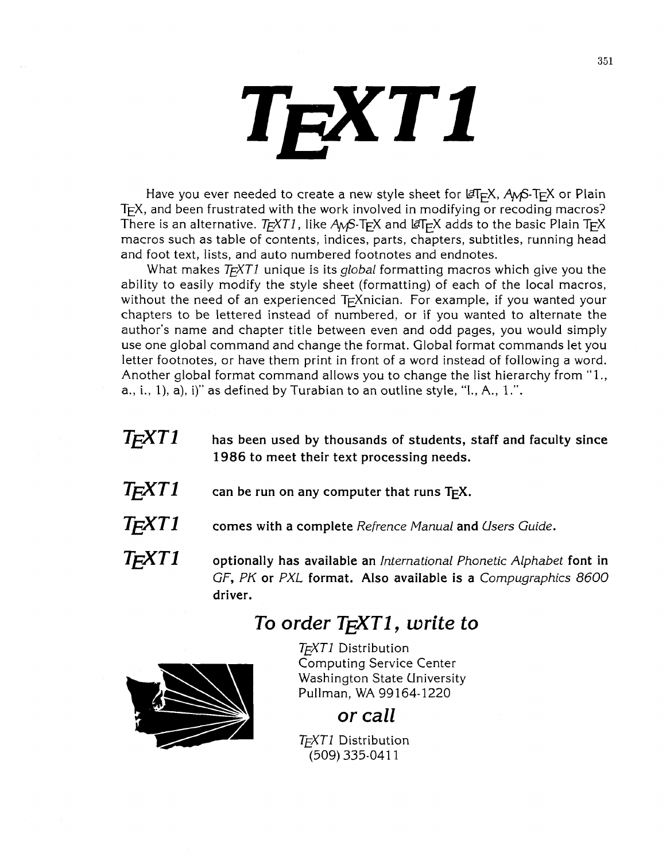# TEXT1

Have you ever needed to create a new style sheet for  $\mathscr{F}F-K$ , A<sub>M</sub>S-T<sub>F</sub>X or Plain T<sub>E</sub>X, and been frustrated with the work involved in modifying or recoding macros? There is an alternative. T<sub>E</sub>XT1, like  $A_{\mathcal{M}}S$ -T<sub>E</sub>X and LaT<sub>E</sub>X adds to the basic Plain T<sub>E</sub>X macros such as table of contents, indices, parts, chapters, subtitles, running head and foot text, lists, and auto numbered footnotes and endnotes.

What makes T<sub>F</sub>XT1 unique is its *global* formatting macros which give you the ability to easily modify the style sheet (formatting) of each of the local macros, without the need of an experienced T<sub>F</sub>Xnician. For example, if you wanted your chapters to be lettered instead of numbered, or if you wanted to alternate the author's name and chapter title between even and odd pages, you would simply use one global command and change the format. Global format commands let you letter footnotes, or have them print in front of a word instead of following a word. Another global format command allows you to change the list hierarchy from "I., a., i., I), a), i)" as defined by Turabian to an outline style, "I., A., 1.".

- *TEXT^* **has been used by thousands of students, staff and faculty since 1986 to meet their text processing needs.**
- $T$  $\cancel{F}XT1$  can be run on any computer that runs  $T$  $\cancel{F}X$ .
- TEXT^ **comes with a complete** *Refrence Manual* **and** *Users Guide.*
- *TEXT^* **optionally has available an** *International Phonetic Alphabet* **font in**  *GF, PK* **or** *PXL* **format. Also available is a** *Compugraphics* **8600 driver.**

# *To order TiXT1, write to*

 $T_FXTI$  Distribution **Computing Service Center Washington State University** Pullman, WA 99164-1220

### or call

TFXT1 Distribution (509) 335-0411